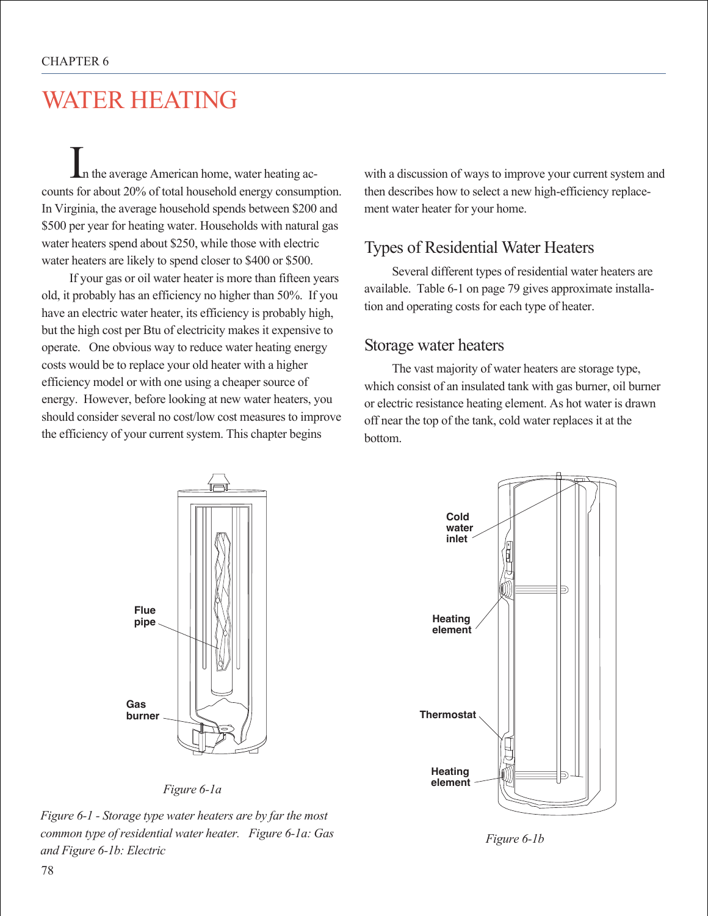# WATER HEATING

In the average American home, water heating accounts for about 20% of total household energy consumption. In Virginia, the average household spends between \$200 and \$500 per year for heating water. Households with natural gas water heaters spend about \$250, while those with electric water heaters are likely to spend closer to \$400 or \$500.

If your gas or oil water heater is more than fifteen years old, it probably has an efficiency no higher than 50%. If you have an electric water heater, its efficiency is probably high, but the high cost per Btu of electricity makes it expensive to operate. One obvious way to reduce water heating energy costs would be to replace your old heater with a higher efficiency model or with one using a cheaper source of energy. However, before looking at new water heaters, you should consider several no cost/low cost measures to improve the efficiency of your current system. This chapter begins

with a discussion of ways to improve your current system and then describes how to select a new high-efficiency replacement water heater for your home.

## Types of Residential Water Heaters

Several different types of residential water heaters are available. Table 6-1 on page 79 gives approximate installation and operating costs for each type of heater.

#### Storage water heaters

The vast majority of water heaters are storage type, which consist of an insulated tank with gas burner, oil burner or electric resistance heating element. As hot water is drawn off near the top of the tank, cold water replaces it at the bottom.





*Figure 6-1 - Storage type water heaters are by far the most common type of residential water heater. Figure 6-1a: Gas and Figure 6-1b: Electric*



*Figure 6-1b*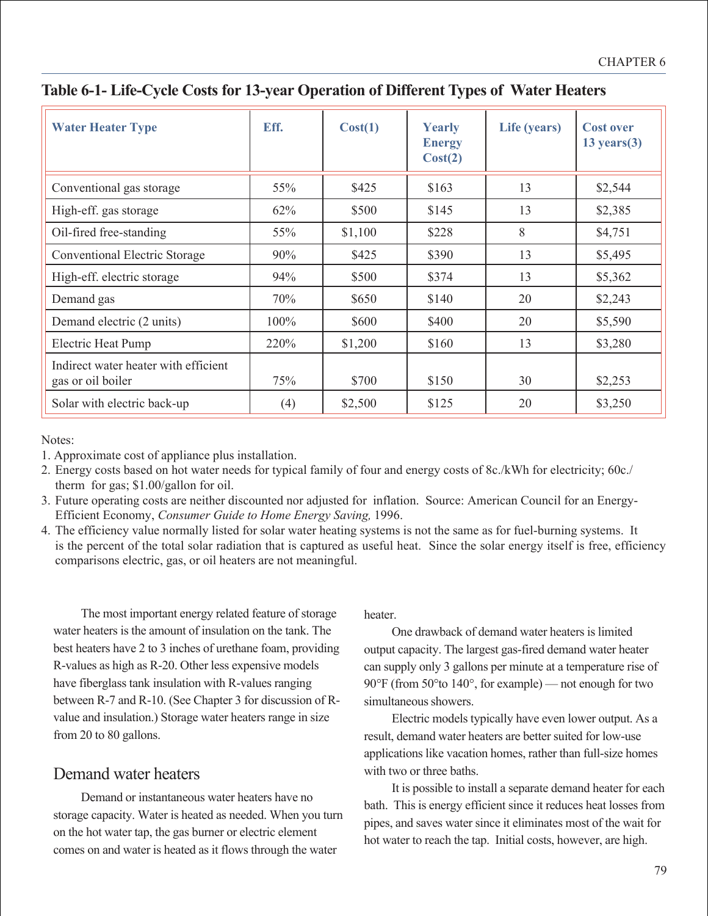| <b>Water Heater Type</b>                                  | Eff. | Cost(1) | <b>Yearly</b><br><b>Energy</b><br>Cost(2) | Life (years) | <b>Cost over</b><br>$13 \text{ years}$ $(3)$ |
|-----------------------------------------------------------|------|---------|-------------------------------------------|--------------|----------------------------------------------|
| Conventional gas storage                                  | 55%  | \$425   | \$163                                     | 13           | \$2,544                                      |
| High-eff. gas storage                                     | 62%  | \$500   | \$145                                     | 13           | \$2,385                                      |
| Oil-fired free-standing                                   | 55%  | \$1,100 | \$228                                     | 8            | \$4,751                                      |
| <b>Conventional Electric Storage</b>                      | 90%  | \$425   | \$390                                     | 13           | \$5,495                                      |
| High-eff. electric storage                                | 94%  | \$500   | \$374                                     | 13           | \$5,362                                      |
| Demand gas                                                | 70%  | \$650   | \$140                                     | 20           | \$2,243                                      |
| Demand electric (2 units)                                 | 100% | \$600   | \$400                                     | 20           | \$5,590                                      |
| <b>Electric Heat Pump</b>                                 | 220% | \$1,200 | \$160                                     | 13           | \$3,280                                      |
| Indirect water heater with efficient<br>gas or oil boiler | 75%  | \$700   | \$150                                     | 30           | \$2,253                                      |
| Solar with electric back-up                               | (4)  | \$2,500 | \$125                                     | 20           | \$3,250                                      |

#### **Table 6-1- Life-Cycle Costs for 13-year Operation of Different Types of Water Heaters**

Notes:

- 2. Energy costs based on hot water needs for typical family of four and energy costs of 8c./kWh for electricity; 60c./ therm for gas; \$1.00/gallon for oil.
- 3. Future operating costs are neither discounted nor adjusted for inflation. Source: American Council for an Energy-Efficient Economy, *Consumer Guide to Home Energy Saving,* 1996.
- 4. The efficiency value normally listed for solar water heating systems is not the same as for fuel-burning systems. It is the percent of the total solar radiation that is captured as useful heat. Since the solar energy itself is free, efficiency comparisons electric, gas, or oil heaters are not meaningful.

The most important energy related feature of storage water heaters is the amount of insulation on the tank. The best heaters have 2 to 3 inches of urethane foam, providing R-values as high as R-20. Other less expensive models have fiberglass tank insulation with R-values ranging between R-7 and R-10. (See Chapter 3 for discussion of Rvalue and insulation.) Storage water heaters range in size from 20 to 80 gallons.

## Demand water heaters

Demand or instantaneous water heaters have no storage capacity. Water is heated as needed. When you turn on the hot water tap, the gas burner or electric element comes on and water is heated as it flows through the water

heater.

One drawback of demand water heaters is limited output capacity. The largest gas-fired demand water heater can supply only 3 gallons per minute at a temperature rise of 90°F (from 50°to 140°, for example) — not enough for two simultaneous showers.

Electric models typically have even lower output. As a result, demand water heaters are better suited for low-use applications like vacation homes, rather than full-size homes with two or three baths.

It is possible to install a separate demand heater for each bath. This is energy efficient since it reduces heat losses from pipes, and saves water since it eliminates most of the wait for hot water to reach the tap. Initial costs, however, are high.

<sup>1.</sup> Approximate cost of appliance plus installation.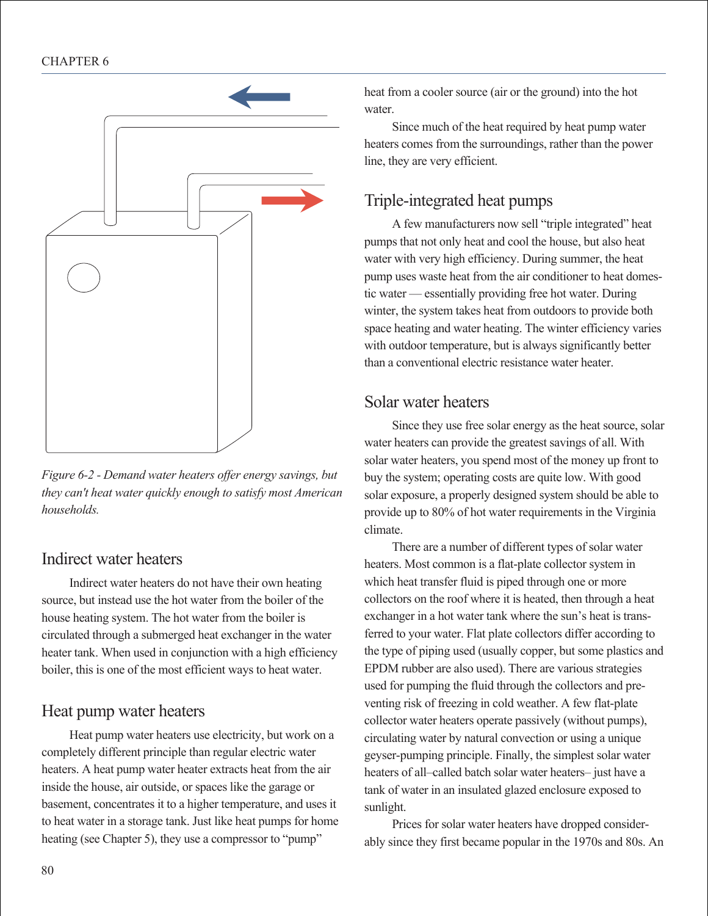

*Figure 6-2 - Demand water heaters offer energy savings, but they can't heat water quickly enough to satisfy most American households.*

## Indirect water heaters

Indirect water heaters do not have their own heating source, but instead use the hot water from the boiler of the house heating system. The hot water from the boiler is circulated through a submerged heat exchanger in the water heater tank. When used in conjunction with a high efficiency boiler, this is one of the most efficient ways to heat water.

## Heat pump water heaters

Heat pump water heaters use electricity, but work on a completely different principle than regular electric water heaters. A heat pump water heater extracts heat from the air inside the house, air outside, or spaces like the garage or basement, concentrates it to a higher temperature, and uses it to heat water in a storage tank. Just like heat pumps for home heating (see Chapter 5), they use a compressor to "pump"

heat from a cooler source (air or the ground) into the hot water.

Since much of the heat required by heat pump water heaters comes from the surroundings, rather than the power line, they are very efficient.

## Triple-integrated heat pumps

A few manufacturers now sell "triple integrated" heat pumps that not only heat and cool the house, but also heat water with very high efficiency. During summer, the heat pump uses waste heat from the air conditioner to heat domestic water — essentially providing free hot water. During winter, the system takes heat from outdoors to provide both space heating and water heating. The winter efficiency varies with outdoor temperature, but is always significantly better than a conventional electric resistance water heater.

## Solar water heaters

Since they use free solar energy as the heat source, solar water heaters can provide the greatest savings of all. With solar water heaters, you spend most of the money up front to buy the system; operating costs are quite low. With good solar exposure, a properly designed system should be able to provide up to 80% of hot water requirements in the Virginia climate.

There are a number of different types of solar water heaters. Most common is a flat-plate collector system in which heat transfer fluid is piped through one or more collectors on the roof where it is heated, then through a heat exchanger in a hot water tank where the sun's heat is transferred to your water. Flat plate collectors differ according to the type of piping used (usually copper, but some plastics and EPDM rubber are also used). There are various strategies used for pumping the fluid through the collectors and preventing risk of freezing in cold weather. A few flat-plate collector water heaters operate passively (without pumps), circulating water by natural convection or using a unique geyser-pumping principle. Finally, the simplest solar water heaters of all–called batch solar water heaters– just have a tank of water in an insulated glazed enclosure exposed to sunlight.

Prices for solar water heaters have dropped considerably since they first became popular in the 1970s and 80s. An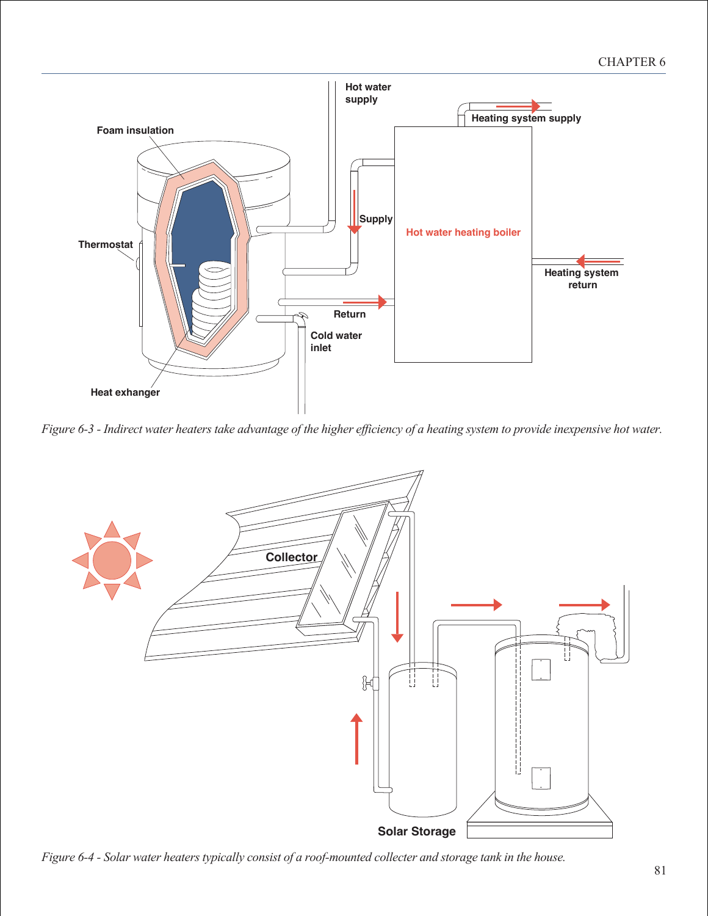

*Figure 6-3 - Indirect water heaters take advantage of the higher efficiency of a heating system to provide inexpensive hot water.*



*Figure 6-4 - Solar water heaters typically consist of a roof-mounted collecter and storage tank in the house.*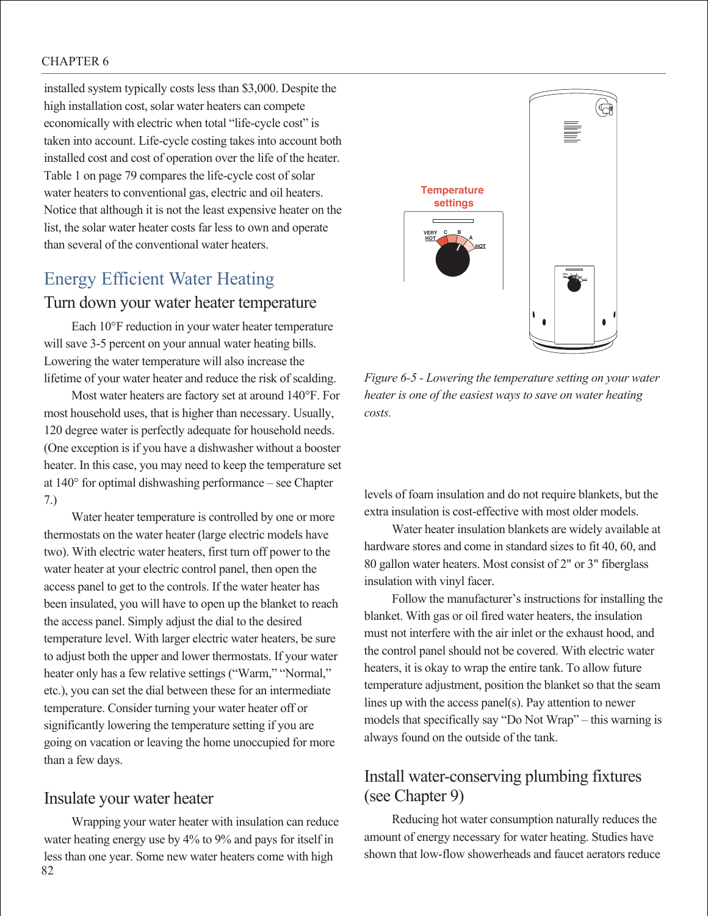#### CHAPTER 6

installed system typically costs less than \$3,000. Despite the high installation cost, solar water heaters can compete economically with electric when total "life-cycle cost" is taken into account. Life-cycle costing takes into account both installed cost and cost of operation over the life of the heater. Table 1 on page 79 compares the life-cycle cost of solar water heaters to conventional gas, electric and oil heaters. Notice that although it is not the least expensive heater on the list, the solar water heater costs far less to own and operate than several of the conventional water heaters.

## Energy Efficient Water Heating

#### Turn down your water heater temperature

Each 10°F reduction in your water heater temperature will save 3-5 percent on your annual water heating bills. Lowering the water temperature will also increase the lifetime of your water heater and reduce the risk of scalding.

Most water heaters are factory set at around 140°F. For most household uses, that is higher than necessary. Usually, 120 degree water is perfectly adequate for household needs. (One exception is if you have a dishwasher without a booster heater. In this case, you may need to keep the temperature set at 140° for optimal dishwashing performance – see Chapter 7.)

Water heater temperature is controlled by one or more thermostats on the water heater (large electric models have two). With electric water heaters, first turn off power to the water heater at your electric control panel, then open the access panel to get to the controls. If the water heater has been insulated, you will have to open up the blanket to reach the access panel. Simply adjust the dial to the desired temperature level. With larger electric water heaters, be sure to adjust both the upper and lower thermostats. If your water heater only has a few relative settings ("Warm," "Normal," etc.), you can set the dial between these for an intermediate temperature. Consider turning your water heater off or significantly lowering the temperature setting if you are going on vacation or leaving the home unoccupied for more than a few days.

#### Insulate your water heater

82 Wrapping your water heater with insulation can reduce water heating energy use by 4% to 9% and pays for itself in less than one year. Some new water heaters come with high



*Figure 6-5 - Lowering the temperature setting on your water heater is one of the easiest ways to save on water heating costs.*

levels of foam insulation and do not require blankets, but the extra insulation is cost-effective with most older models.

Water heater insulation blankets are widely available at hardware stores and come in standard sizes to fit 40, 60, and 80 gallon water heaters. Most consist of 2" or 3" fiberglass insulation with vinyl facer.

Follow the manufacturer's instructions for installing the blanket. With gas or oil fired water heaters, the insulation must not interfere with the air inlet or the exhaust hood, and the control panel should not be covered. With electric water heaters, it is okay to wrap the entire tank. To allow future temperature adjustment, position the blanket so that the seam lines up with the access panel(s). Pay attention to newer models that specifically say "Do Not Wrap" – this warning is always found on the outside of the tank.

#### Install water-conserving plumbing fixtures (see Chapter 9)

Reducing hot water consumption naturally reduces the amount of energy necessary for water heating. Studies have shown that low-flow showerheads and faucet aerators reduce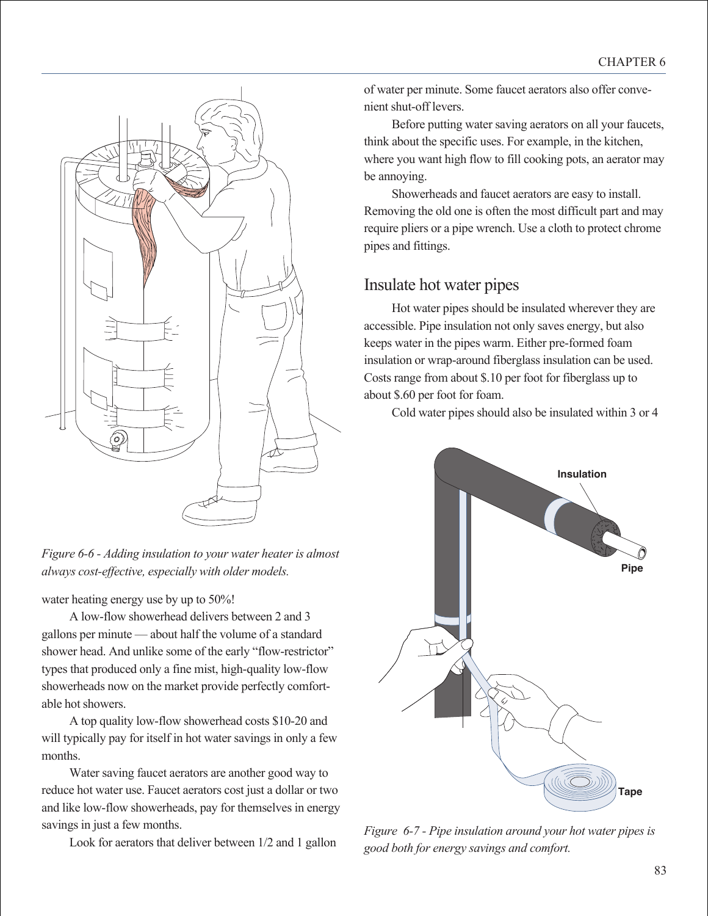

*Figure 6-6 - Adding insulation to your water heater is almost always cost-effective, especially with older models.*

water heating energy use by up to 50%!

A low-flow showerhead delivers between 2 and 3 gallons per minute — about half the volume of a standard shower head. And unlike some of the early "flow-restrictor" types that produced only a fine mist, high-quality low-flow showerheads now on the market provide perfectly comfortable hot showers.

A top quality low-flow showerhead costs \$10-20 and will typically pay for itself in hot water savings in only a few months.

Water saving faucet aerators are another good way to reduce hot water use. Faucet aerators cost just a dollar or two and like low-flow showerheads, pay for themselves in energy savings in just a few months.

Look for aerators that deliver between 1/2 and 1 gallon

of water per minute. Some faucet aerators also offer convenient shut-off levers.

Before putting water saving aerators on all your faucets, think about the specific uses. For example, in the kitchen, where you want high flow to fill cooking pots, an aerator may be annoying.

Showerheads and faucet aerators are easy to install. Removing the old one is often the most difficult part and may require pliers or a pipe wrench. Use a cloth to protect chrome pipes and fittings.

## Insulate hot water pipes

Hot water pipes should be insulated wherever they are accessible. Pipe insulation not only saves energy, but also keeps water in the pipes warm. Either pre-formed foam insulation or wrap-around fiberglass insulation can be used. Costs range from about \$.10 per foot for fiberglass up to about \$.60 per foot for foam.

Cold water pipes should also be insulated within 3 or 4



*Figure 6-7 - Pipe insulation around your hot water pipes is good both for energy savings and comfort.*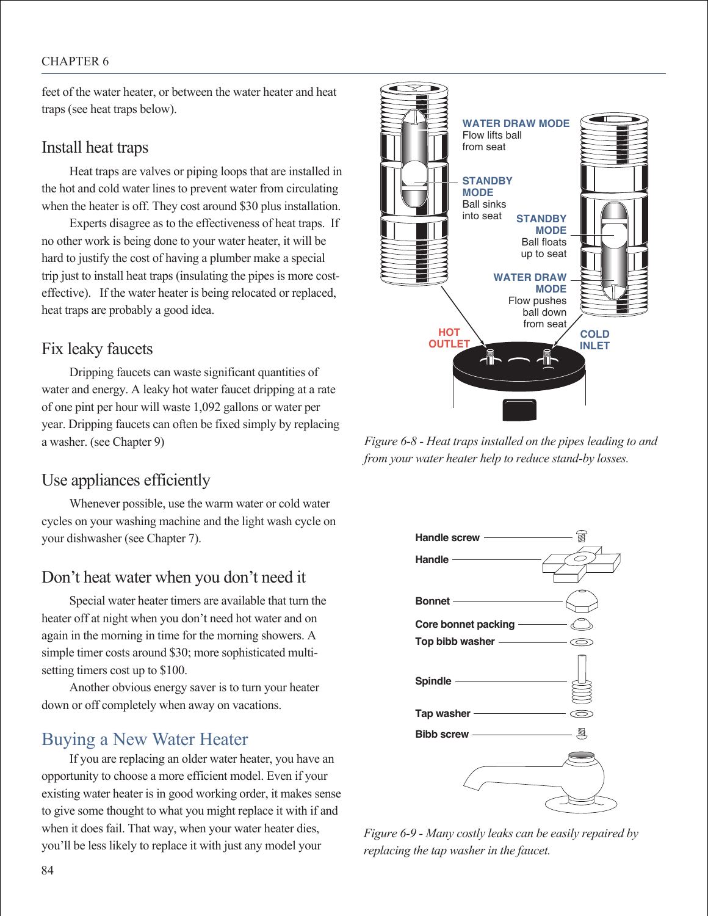#### CHAPTER 6

feet of the water heater, or between the water heater and heat traps (see heat traps below).

#### Install heat traps

Heat traps are valves or piping loops that are installed in the hot and cold water lines to prevent water from circulating when the heater is off. They cost around \$30 plus installation.

Experts disagree as to the effectiveness of heat traps. If no other work is being done to your water heater, it will be hard to justify the cost of having a plumber make a special trip just to install heat traps (insulating the pipes is more costeffective). If the water heater is being relocated or replaced, heat traps are probably a good idea.

#### Fix leaky faucets

Dripping faucets can waste significant quantities of water and energy. A leaky hot water faucet dripping at a rate of one pint per hour will waste 1,092 gallons or water per year. Dripping faucets can often be fixed simply by replacing a washer. (see Chapter 9)

## Use appliances efficiently

Whenever possible, use the warm water or cold water cycles on your washing machine and the light wash cycle on your dishwasher (see Chapter 7).

## Don't heat water when you don't need it

Special water heater timers are available that turn the heater off at night when you don't need hot water and on again in the morning in time for the morning showers. A simple timer costs around \$30; more sophisticated multisetting timers cost up to \$100.

Another obvious energy saver is to turn your heater down or off completely when away on vacations.

## Buying a New Water Heater

If you are replacing an older water heater, you have an opportunity to choose a more efficient model. Even if your existing water heater is in good working order, it makes sense to give some thought to what you might replace it with if and when it does fail. That way, when your water heater dies, you'll be less likely to replace it with just any model your



*Figure 6-8 - Heat traps installed on the pipes leading to and from your water heater help to reduce stand-by losses.*



*Figure 6-9 - Many costly leaks can be easily repaired by replacing the tap washer in the faucet.*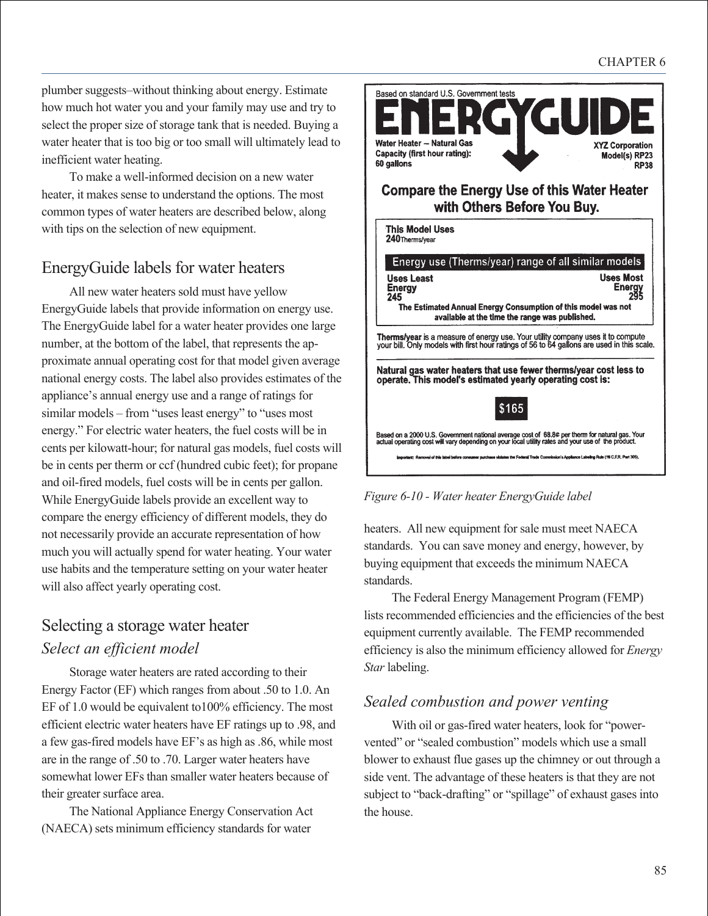plumber suggests–without thinking about energy. Estimate how much hot water you and your family may use and try to select the proper size of storage tank that is needed. Buying a water heater that is too big or too small will ultimately lead to inefficient water heating.

To make a well-informed decision on a new water heater, it makes sense to understand the options. The most common types of water heaters are described below, along with tips on the selection of new equipment.

## EnergyGuide labels for water heaters

All new water heaters sold must have yellow EnergyGuide labels that provide information on energy use. The EnergyGuide label for a water heater provides one large number, at the bottom of the label, that represents the approximate annual operating cost for that model given average national energy costs. The label also provides estimates of the appliance's annual energy use and a range of ratings for similar models – from "uses least energy" to "uses most energy." For electric water heaters, the fuel costs will be in cents per kilowatt-hour; for natural gas models, fuel costs will be in cents per therm or ccf (hundred cubic feet); for propane and oil-fired models, fuel costs will be in cents per gallon. While EnergyGuide labels provide an excellent way to compare the energy efficiency of different models, they do not necessarily provide an accurate representation of how much you will actually spend for water heating. Your water use habits and the temperature setting on your water heater will also affect yearly operating cost.

## Selecting a storage water heater *Select an efficient model*

Storage water heaters are rated according to their Energy Factor (EF) which ranges from about .50 to 1.0. An EF of 1.0 would be equivalent to100% efficiency. The most efficient electric water heaters have EF ratings up to .98, and a few gas-fired models have EF's as high as .86, while most are in the range of .50 to .70. Larger water heaters have somewhat lower EFs than smaller water heaters because of their greater surface area.

The National Appliance Energy Conservation Act (NAECA) sets minimum efficiency standards for water



\$165

Based on a 2000 U.S. Government national average cost of 68.8¢ per therm for natural gas. Your<br>actual operating cost will vary depending on your local utility rates and your use of the product. n's Acciliance Labelino Ruin (16 C.F.R. Part 305).

*Figure 6-10 - Water heater EnergyGuide label*

heaters. All new equipment for sale must meet NAECA standards. You can save money and energy, however, by buying equipment that exceeds the minimum NAECA standards.

The Federal Energy Management Program (FEMP) lists recommended efficiencies and the efficiencies of the best equipment currently available. The FEMP recommended efficiency is also the minimum efficiency allowed for *Energy Star* labeling.

#### *Sealed combustion and power venting*

With oil or gas-fired water heaters, look for "powervented" or "sealed combustion" models which use a small blower to exhaust flue gases up the chimney or out through a side vent. The advantage of these heaters is that they are not subject to "back-drafting" or "spillage" of exhaust gases into the house.